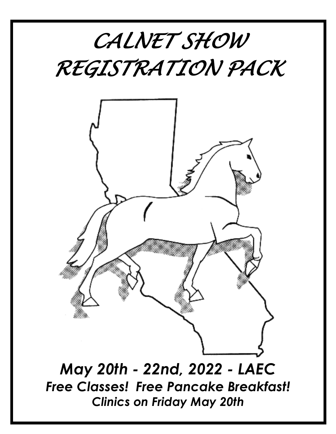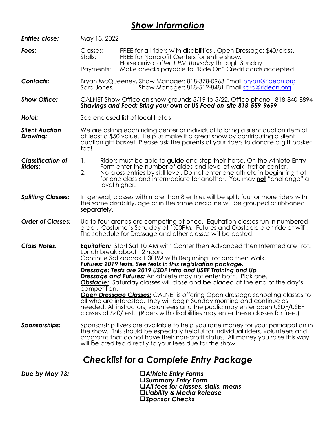# *Show Information*

| <b>Entries close:</b>                      | May 13, 2022                                                                                                                                                                                                                                                                                                                                                                                                                                                                                                                                                                                                                                                                                                                                                                                                                                     |                                                                                                                                                                                                                                                                                                                        |
|--------------------------------------------|--------------------------------------------------------------------------------------------------------------------------------------------------------------------------------------------------------------------------------------------------------------------------------------------------------------------------------------------------------------------------------------------------------------------------------------------------------------------------------------------------------------------------------------------------------------------------------------------------------------------------------------------------------------------------------------------------------------------------------------------------------------------------------------------------------------------------------------------------|------------------------------------------------------------------------------------------------------------------------------------------------------------------------------------------------------------------------------------------------------------------------------------------------------------------------|
| Fees:                                      | Classes:<br>Stalls:                                                                                                                                                                                                                                                                                                                                                                                                                                                                                                                                                                                                                                                                                                                                                                                                                              | FREE for all riders with disabilities. Open Dressage: \$40/class.<br>FREE for Nonprofit Centers for entire show.<br>Horse arrival after 1 PM Thursday through Sunday.                                                                                                                                                  |
|                                            | Payments:                                                                                                                                                                                                                                                                                                                                                                                                                                                                                                                                                                                                                                                                                                                                                                                                                                        | Make checks payable to "Ride On" Credit cards accepted.                                                                                                                                                                                                                                                                |
| <b>Contacts:</b>                           | Sara Jones,                                                                                                                                                                                                                                                                                                                                                                                                                                                                                                                                                                                                                                                                                                                                                                                                                                      | Bryan McQueeney, Show Manager: 818-378-0963 Email bryan@rideon.org<br>Show Manager: 818-512-8481 Email sara@rideon.org                                                                                                                                                                                                 |
| <b>Show Office:</b>                        |                                                                                                                                                                                                                                                                                                                                                                                                                                                                                                                                                                                                                                                                                                                                                                                                                                                  | CALNET Show Office on show grounds 5/19 to 5/22. Office phone: 818-840-8894<br>Shavings and Feed: Bring your own or US Feed on-site 818-559-9699                                                                                                                                                                       |
| Hotel:                                     |                                                                                                                                                                                                                                                                                                                                                                                                                                                                                                                                                                                                                                                                                                                                                                                                                                                  | See enclosed list of local hotels                                                                                                                                                                                                                                                                                      |
| <b>Silent Auction</b><br>Drawing:          | We are asking each riding center or individual to bring a silent auction item of<br>at least a \$50 value. Help us make it a great show by contributing a silent<br>auction gift basket. Please ask the parents of your riders to donate a gift basket<br>too!                                                                                                                                                                                                                                                                                                                                                                                                                                                                                                                                                                                   |                                                                                                                                                                                                                                                                                                                        |
| <b>Classification of</b><br><b>Riders:</b> | 1.<br>2.<br>level higher.                                                                                                                                                                                                                                                                                                                                                                                                                                                                                                                                                                                                                                                                                                                                                                                                                        | Riders must be able to guide and stop their horse. On the Athlete Entry<br>Form enter the number of aides and level of walk, trot or canter.<br>No cross entries by skill level. Do not enter one athlete in beginning trot<br>for one class and intermediate for another. You may not "challenge" a                   |
| <b>Splitting Classes:</b>                  | separately.                                                                                                                                                                                                                                                                                                                                                                                                                                                                                                                                                                                                                                                                                                                                                                                                                                      | In general, classes with more than 8 entries will be split; four or more riders with<br>the same disability, age or in the same discipline will be grouped or ribboned                                                                                                                                                 |
| <b>Order of Classes:</b>                   |                                                                                                                                                                                                                                                                                                                                                                                                                                                                                                                                                                                                                                                                                                                                                                                                                                                  | Up to four arenas are competing at once. Equitation classes run in numbered<br>order. Costume is Saturday at 1.00PM. Futures and Obstacle are "ride at will".<br>The schedule for Dressage and other classes will be posted.                                                                                           |
| <b>Class Notes:</b>                        | <b>Equitation:</b> Start Sat 10 AM with Canter then Advanced then Intermediate Trot.<br>Lunch break about 12 noon.<br>Continue Sat approx 1:30PM with Beginning Trot and then Walk.<br><u> Futures: 2019 tests. See tests in this registration package.</u><br>Dressage: Tests are 2019 USDF Intro and USEF Training and Up<br><b>Dressage and Futures:</b> An athlete may not enter both. Pick one.<br><b>Obstacle:</b> Saturday classes will close and be placed at the end of the day's<br>competition.<br><b>Open Dressage Classes:</b> CALNET is offering Open dressage schooling classes to<br>all who are interested. They will begin Sunday morning and continue as<br>needed. All instructors, volunteers and the public may enter open USDF/USEF<br>classes at \$40/test. (Riders with disabilities may enter these classes for free.) |                                                                                                                                                                                                                                                                                                                        |
| Sponsorships:                              |                                                                                                                                                                                                                                                                                                                                                                                                                                                                                                                                                                                                                                                                                                                                                                                                                                                  | Sponsorship flyers are available to help you raise money for your participation in<br>the show. This should be especially helpful for individual riders, volunteers and<br>programs that do not have their non-profit status. All money you raise this way<br>will be credited directly to your fees due for the show. |
|                                            |                                                                                                                                                                                                                                                                                                                                                                                                                                                                                                                                                                                                                                                                                                                                                                                                                                                  | <u>Checklist for a Complete Entry Package</u>                                                                                                                                                                                                                                                                          |
| Due by May 13:                             |                                                                                                                                                                                                                                                                                                                                                                                                                                                                                                                                                                                                                                                                                                                                                                                                                                                  | □Athlete Entry Forms                                                                                                                                                                                                                                                                                                   |

❑*Summary Entry Form* ❑*All fees for classes, stalls, meals* ❑*Liability & Media Release* ❑*Sponsor Checks*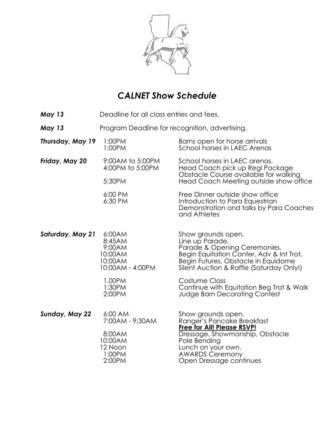

# *CALNET Show Schedule*

- *May 13* Deadline for all class entries and fees.
- **May 13** Program Deadline for recognition, advertising.

| Thursday, May 19 | 1:00PM<br>1:00PM                                                               | Barns open for horse arrivals<br>School horses in LAEC Arenas                                                                                                                                                       |
|------------------|--------------------------------------------------------------------------------|---------------------------------------------------------------------------------------------------------------------------------------------------------------------------------------------------------------------|
| Friday, May 20   | 9:00AM to 5:00PM<br>4:00PM to 5:00PM<br>5:30PM                                 | School horses in LAEC arenas.<br>Head Coach pick up Regi Package<br>Obstacle Course available for walking<br>Head Coach Meeting outside show office                                                                 |
|                  | 6:00 PM<br>6:30 PM                                                             | Free Dinner outside show office<br>Introduction to Para Equestrian<br>Demonstration and talks by Para Coaches<br>and Athletes                                                                                       |
| Saturday, May 21 | 6:00AM<br>8:45AM<br>9:00AM<br>10:00AM<br>10:00AM<br>10:00AM - 4:00PM           | Show grounds open.<br>Line up Parade.<br>Parade & Opening Ceremonies.<br>Begin Equitation Canter, Adv & Int Trot,<br>Begin Futures, Obstacle in Equidome<br>Silent Auction & Raffle (Saturday Only!)                |
|                  | 1.00PM<br>1:30PM<br>2:00PM                                                     | Costume Class<br>Continue with Equitation Beg Trot & Walk<br><b>Judge Barn Decorating Contest</b>                                                                                                                   |
| Sunday, May 22   | 6:00 AM<br>7:00AM - 9:30AM<br>8:00AM<br>10:00AM<br>12 Noon<br>1:00PM<br>2:00PM | Show grounds open.<br>Ranger's Pancake Breakfast<br><b>Free for All! Please RSVP!</b><br>Dressage, Showmanship, Obstacle<br>Pole Bending<br>Lunch on your own.<br><b>AWARDS Ceremony</b><br>Open Dressage continues |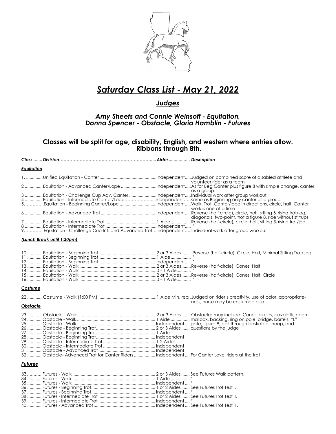

# *Saturday Class List - May 21, 2022*

## *Judges*

### *Amy Sheets and Connie Weinsoff - Equitation, Donna Spencer - Obstacle, Gloria Hamblin - Futures*

**Classes will be split for age, disability, English, and western where entries allow. Ribbons through 8th.** 

#### *Class .......Division………………………………………………………....Aides................. Description*

#### *Equitation*

|                                                                                                   | volunteer rider as a team<br>2 Equitation - Advanced Canter/Lope IndependentAs for Beg Canter plus figure 8 with simple change, canter |
|---------------------------------------------------------------------------------------------------|----------------------------------------------------------------------------------------------------------------------------------------|
|                                                                                                   | as a aroup.                                                                                                                            |
| 3 Equitation - Challenge Cup Adv. Canter Independent Individual work after group workout          |                                                                                                                                        |
| 4 Equitation - Intermediate Canter/LopeIndependentSame as Beginning only canter as a group        |                                                                                                                                        |
|                                                                                                   | 5Equitation - Beginning Canter/Lope IndependentWalk, Trot, Canter/lope in directions, circle, halt. Canter                             |
|                                                                                                   | work is one at a time                                                                                                                  |
|                                                                                                   |                                                                                                                                        |
|                                                                                                   | diagonals, two-point, trot a figure 8, ride without stirrups                                                                           |
|                                                                                                   |                                                                                                                                        |
|                                                                                                   |                                                                                                                                        |
| 9 Equitation - Challenge Cup Int. and Advanced TrotIndependentIndividual work after group workout |                                                                                                                                        |

#### *(Lunch Break until 1:30pm)*

#### *Costume*

|                   | ness; horse may be costumed also. |
|-------------------|-----------------------------------|
| $\bigcap$ hetaple |                                   |

#### *Obstacle*

| 32  Obstacle-Advanced Trot for Canter Riders  Independent  For Canter Level riders at the trot |  |
|------------------------------------------------------------------------------------------------|--|

#### *Futures*

| 39 ……… Futures - Intermediate Trot …………………………………………… Independent …. '' |  |
|------------------------------------------------------------------------|--|
|                                                                        |  |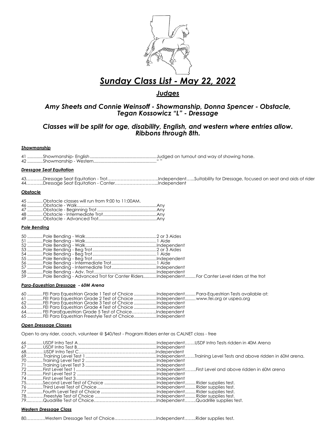

## *Sunday Class List - May 22, 2022*

### *Judges*

### *Amy Sheets and Connie Weinsoff - Showmanship, Donna Spencer - Obstacle, Tegan Kossowicz "L" - Dressage*

### *Classes will be split for age, disability, English, and western where entries allow. Ribbons through 8th.*

#### *Showmanship*

41 .............Showmanship- English ........................................................Judged on turnout and way of showing horse. 42 .............Showmanship - Western....................................................." "

#### *Dressgae Seat Equitation*

43………...Dressage Seat Equitation - Trot……………………………..Independent…...Suitability for Dressage, focused on seat and aids of rider 44………...Dressage Seat Equitation - Canter………………………...Independent

#### *Obstacle*

| 45 Obstacle classes will run from 9:00 to 11:00AM. |  |
|----------------------------------------------------|--|
|                                                    |  |
|                                                    |  |
|                                                    |  |

#### *Pole Bending*

| 59 Pole Bending - Advanced Trot for Canter RidersIndependent For Canter Level riders at the trot |  |
|--------------------------------------------------------------------------------------------------|--|

#### *Para-Equestrian Dressage - 60M Arena*

| 60 mmmmm FEI Para Eauestrian Grade 1 Test of Choice mmmmmmmlndependent mmmm Para-Eauestrian Tests available at |  |
|----------------------------------------------------------------------------------------------------------------|--|
| 61 FEI Para Equestrian Grade 2 Test of Choice Independent www.fei.org or uspea.org                             |  |
| 62 FEI Para Eauestrian Grade 3 Test of Choice Independent                                                      |  |
| 63 FEI Para Equestrian Grade 4 Test of Choice Independent                                                      |  |
|                                                                                                                |  |
| 65 FEI Para Equestrian Freestyle Test of ChoiceIndependent                                                     |  |

#### *Open Dressage Classes*

Open to any rider, coach, volunteer @ \$40/test - Program Riders enter as CALNET class - free

#### *Western Dressage Class*

80………….Western Dressage Test of Choice………………………..Independent……..Rider supplies test.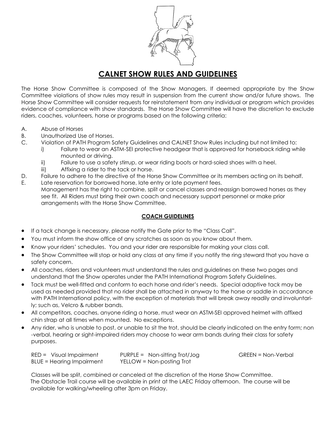

## **CALNET SHOW RULES AND GUIDELINES**

The Horse Show Committee is composed of the Show Managers. If deemed appropriate by the Show Committee violations of show rules may result in suspension from the current show and/or future shows. The Horse Show Committee will consider requests for reinstatement from any individual or program which provides evidence of compliance with show standards. The Horse Show Committee will have the discretion to exclude riders, coaches, volunteers, horse or programs based on the following criteria:

- A. Abuse of Horses
- B. Unauthorized Use of Horses.
- C. Violation of PATH Program Safety Guidelines and CALNET Show Rules including but not limited to:
	- i) Failure to wear an ASTM-SEI protective headgear that is approved for horseback riding while mounted or driving.
	- ii) Failure to use a safety stirrup, or wear riding boots or hard-soled shoes with a heel.
	- iii) Affixing a rider to the tack or horse.
- D. Failure to adhere to the directive of the Horse Show Committee or its members acting on its behalf.
- E. Late reservation for borrowed horse, late entry or late payment fees. Management has the right to combine, split or cancel classes and reassign borrowed horses as they see fit. All Riders must bring their own coach and necessary support personnel or make prior arrangements with the Horse Show Committee.

### **COACH GUIDELINES**

- If a tack change is necessary, please notify the Gate prior to the "Class Call".
- You must inform the show office of any scratches as soon as you know about them.
- Know your riders' schedules. You and your rider are responsible for making your class call.
- The Show Committee will stop or hold any class at any time if you notify the ring steward that you have a safety concern.
- All coaches, riders and volunteers must understand the rules and guidelines on these two pages and understand that the Show operates under the PATH International Program Safety Guidelines.
- Tack must be well-fitted and conform to each horse and rider's needs. Special adaptive tack may be used as needed provided that no rider shall be attached in anyway to the horse or saddle in accordance with PATH International policy, with the exception of materials that will break away readily and involuntarily; such as, Velcro & rubber bands.
- All competitors, coaches, anyone riding a horse, must wear an ASTM-SEI approved helmet with affixed chin strap at all times when mounted. No exceptions.
- Any rider, who is unable to post, or unable to sit the trot, should be clearly indicated on the entry form; non -verbal, hearing or sight-impaired riders may choose to wear arm bands during their class for safety purposes.

| $RED = Visual Impairment$        | $PURE = Non-sitting Trot/Jog$ | GREEN = Non-Verbal |
|----------------------------------|-------------------------------|--------------------|
| <b>BLUE = Hearing Impairment</b> | YELLOW = Non-posting Trot     |                    |

Classes will be split, combined or canceled at the discretion of the Horse Show Committee. The Obstacle Trail course will be available in print at the LAEC Friday afternoon. The course will be available for walking/wheeling after 3pm on Friday.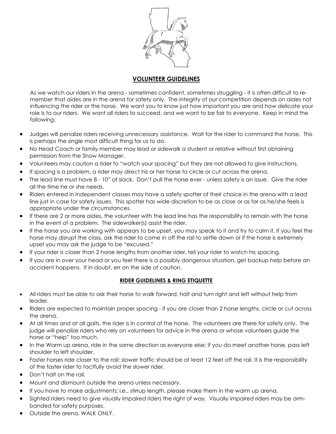

## **VOLUNTEER GUIDELINES**

As we watch our riders in the arena - sometimes confident, sometimes struggling - it is often difficult to remember that aides are in the arena for safety only. The integrity of our competition depends on aides not influencing the rider or the horse. We want you to know just how important you are and how delicate your role is to our riders. We want all riders to succeed, and we want to be fair to everyone. Keep in mind the following:

- Judges will penalize riders receiving unnecessary assistance. Wait for the rider to command the horse. This is perhaps the single most difficult thing for us to do.
- No Head Coach or family member may lead or sidewalk a student or relative without first obtaining permission from the Show Manager.
- Volunteers may caution a rider to "watch your spacing" but they are not allowed to give instructions.
- If spacing is a problem, a rider may direct his or her horse to circle or cut across the arena.
- The lead line must have 8 10" of slack. Don't pull the horse ever unless safety is an issue. Give the rider all the time he or she needs.
- Riders entered in independent classes may have a safety spotter of their choice in the arena with a lead line just in case for safety issues. This spotter has wide discretion to be as close or as far as he/she feels is appropriate under the circumstances.
- If there are 2 or more aides, the volunteer with the lead line has the responsibility to remain with the horse in the event of a problem. The sidewalker(s) assist the rider.
- If the horse you are working with appears to be upset, you may speak to it and try to calm it. If you feel the horse may disrupt the class, ask the rider to come in off the rail to settle down or if the horse is extremely upset you may ask the judge to be "excused."
- If your rider is closer than 2 horse lengths from another rider, tell your rider to watch his spacing.
- If you are in over your head or you feel there is a possibly dangerous situation, get backup help before an accident happens. If in doubt, err on the side of caution.

### **RIDER GUIDELINES & RING ETIQUETTE**

- All riders must be able to ask their horse to walk forward, halt and turn right and left without help from leader.
- Riders are expected to maintain proper spacing if you are closer than 2 horse lengths, circle or cut across the arena.
- At all times and at all gaits, the rider is in control of the horse. The volunteers are there for safety only. The judge will penalize riders who rely on volunteers for advice in the arena or whose volunteers guide the horse or "help" too much.
- In the Warm up arena, ride in the same direction as everyone else; if you do meet another horse, pass left shoulder to left shoulder.
- Faster horses ride closer to the rail; slower traffic should be at least 12 feet off the rail. It is the responsibility of the faster rider to tactfully avoid the slower rider.
- Don't halt on the rail.
- Mount and dismount outside the arena unless necessary.
- If you have to make adjustments; i.e., stirrup length, please make them in the warm up arena.
- Sighted riders need to give visually impaired riders the right of way. Visually impaired riders may be armbanded for safety purposes.
- Outside the arena, WALK ONLY.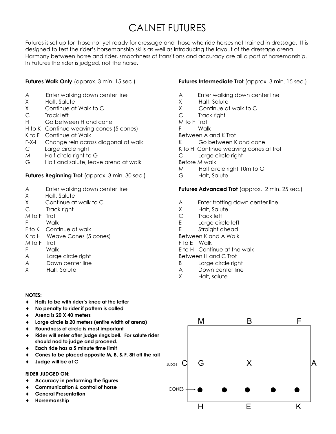# CALNET FUTURES

Futures is set up for those not yet ready for dressage and those who ride horses not trained in dressage. It is designed to test the rider's horsemanship skills as well as introducing the layout of the dressage arena. Harmony between horse and rider, smoothness of transitions and accuracy are all a part of horsemanship. In Futures the rider is judged, not the horse.

### **Futures Walk Only** (approx. 3 min. 15 sec.)

- A Enter walking down center line
- X Halt, Salute
- X Continue at Walk to C
- C Track left
- H Go between H and cone
- H to K Continue weaving cones (5 cones)
- K to F Continue at Walk
- F-X-H Change rein across diagonal at walk
- C Large circle right
- M Half circle right to G
- G Halt and salute, leave arena at walk

#### **Futures Beginning Trot** (approx. 3 min. 30 sec.)

- A Enter walking down center line
- X Halt, Salute
- X Continue at walk to C
- C Track right
- M to F Trot
- F Walk
- F to K Continue at walk
- K to H Weave Cones (5 cones)
- M to F Trot
- F Walk
- A Large circle right
- A Down center line
- X Halt, Salute

#### **NOTES:**

- **Halts to be with rider's knee at the letter**
- **No penalty to rider if pattern is called**
- **Arena is 20 X 40 meters**
- **Large circle is 20 meters (entire width of arena)**
- **Roundness of circle is most important**
- **Rider will enter after judge rings bell. For salute rider should nod to judge and proceed.**
- **Each ride has a 5 minute time limit**
- **Cones to be placed opposite M, B, & F, 8ft off the rail**
- **Judge will be at C**

#### **RIDER JUDGED ON:**

- **Accuracy in performing the figures**
- **Communication & control of horse**
- **General Presentation**
- **Horsemanship**

#### **Futures Intermediate Trot** (approx. 3 min. 15 sec.)

- A Enter walking down center line
- X Halt, Salute
- X Continue at walk to C
- C Track right
- M to F Trot
- F Walk
- Between A and K Trot
- K Go between K and cone
- K to H Continue weaving cones at trot
- C Large circle right
- Before M walk
- M Half circle right 10m to G
- G Halt, Salute

#### **Futures Advanced Trot** (approx. 2 min. 25 sec.)

- A Enter trotting down center line
- X Halt, Salute
- C Track left
- E Large circle left
- E Straight ahead
- Between K and A Walk
- F to E Walk
- E to H Continue at the walk
- Between H and C Trot
- B Large circle right
- A Down center line
- X Halt, salute

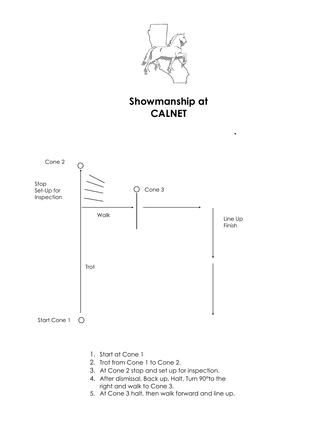

# **Showmanship at CALNET**



- 1. Start at Cone 1
- 2. Trot from Cone 1 to Cone 2.
- 3. At Cone 2 stop and set up for inspection.
- 4. After dismissal, Back up, Halt, Turn 90°to the right and walk to Cone 3.
- 5. At Cone 3 halt, then walk forward and line up.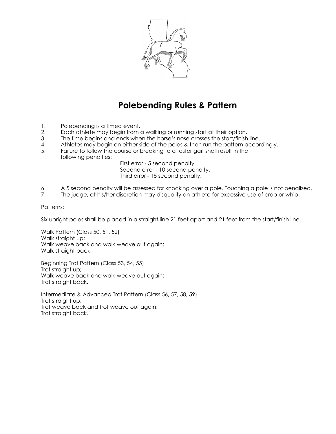

# **Polebending Rules & Pattern**

- 1. Polebending is a timed event.
- 2. Each athlete may begin from a walking or running start at their option.
- 3. The time begins and ends when the horse's nose crosses the start/finish line.
- 4. Athletes may begin on either side of the poles & then run the pattern accordingly.<br>5. Failure to follow the course or breaking to a faster agit shall result in the
- Failure to follow the course or breaking to a faster gait shall result in the following penalties:

First error - 5 second penalty. Second error - 10 second penalty. Third error - 15 second penalty.

- 6. A 5 second penalty will be assessed for knocking over a pole. Touching a pole is not penalized.<br>6. The judge, at his/her discretion may disauglify an athlete for excessive use of crop or whip.
- The judge, at his/her discretion may disqualify an athlete for excessive use of crop or whip.

#### Patterns:

Six upright poles shall be placed in a straight line 21 feet apart and 21 feet from the start/finish line.

Walk Pattern (Class 50, 51, 52) Walk straight up; Walk weave back and walk weave out again; Walk straight back.

Beginning Trot Pattern (Class 53, 54, 55) Trot straight up; Walk weave back and walk weave out again; Trot straight back.

Intermediate & Advanced Trot Pattern (Class 56, 57, 58, 59) Trot straight up; Trot weave back and trot weave out again; Trot straight back.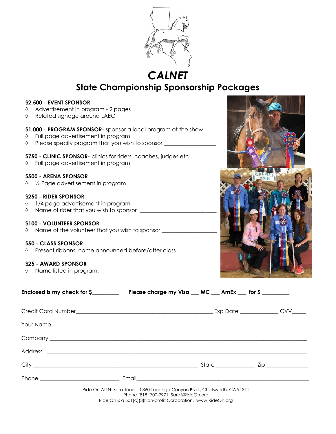

*CALNET* 

# **State Championship Sponsorship Packages**

### **\$2,500 - EVENT SPONSOR**

- Advertisement in program 2 pages
- Related signage around LAEC

#### **\$1,000 - PROGRAM SPONSOR-** sponsor a local program at the show

- Full page advertisement in program
- $\Diamond$  Please specify program that you wish to sponsor  $\Box$

#### **\$750 - CLINIC SPONSOR-** clinics for riders, coaches, judges etc.

Full page advertisement in program

#### **\$500 - ARENA SPONSOR**

½ Page advertisement in program

#### **\$250 - RIDER SPONSOR**

- $\sqrt{1/4}$  page advertisement in program
- $\Diamond$  Name of rider that you wish to sponsor  $\Box$

#### **\$100 - VOLUNTEER SPONSOR**

 $\Diamond$  Name of the volunteer that you wish to sponsor  $\Box$ 

#### **\$50 - CLASS SPONSOR**

Present ribbons, name announced before/after class

#### **\$25 - AWARD SPONSOR**

 $\Diamond$  Name listed in program.



| Enclosed is my check for \$ Please charge my Visa __ MC __ AmEx __ for \$                                                                                                         |  |  |  |
|-----------------------------------------------------------------------------------------------------------------------------------------------------------------------------------|--|--|--|
|                                                                                                                                                                                   |  |  |  |
|                                                                                                                                                                                   |  |  |  |
|                                                                                                                                                                                   |  |  |  |
|                                                                                                                                                                                   |  |  |  |
|                                                                                                                                                                                   |  |  |  |
|                                                                                                                                                                                   |  |  |  |
| Ride On ATTN: Sara Jones 10860 Topanga Canyon Blvd., Chatsworth, CA 91311<br>Phone (818) 700-2971 Sara@RideOn.org<br>Ride On is a 501(c)(3)Non-profit Corporation. www.RideOn.org |  |  |  |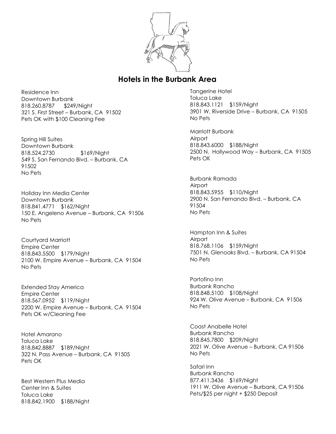

## **Hotels in the Burbank Area**

Residence Inn Downtown Burbank 818.260.8787 \$249/Night 321 S. First Street – Burbank, CA 91502 Pets OK with \$100 Cleaning Fee

Spring Hill Suites Downtown Burbank 818.524.2730 \$169/Night 549 S. San Fernando Blvd. – Burbank, CA 91502 No Pets

Holiday Inn Media Center Downtown Burbank 818.841.4771 \$162/Night 150 E. Angeleno Avenue – Burbank, CA 91506 No Pets

Courtyard Marriott Empire Center 818.843.5500 \$179/Night 2100 W. Empire Avenue – Burbank, CA 91504 No Pets

Extended Stay America Empire Center 818.567.0952 \$119/Night 2200 W. Empire Avenue – Burbank, CA 91504 Pets OK w/Cleaning Fee

Hotel Amarano Toluca Lake 818.842.8887 \$189/Night 322 N. Pass Avenue – Burbank, CA 91505 Pets OK

Best Western Plus Media Center Inn & Suites Toluca Lake 818.842.1900 \$188/Night Tangerine Hotel Toluca Lake 818.843.1121 \$159/Night 3901 W. Riverside Drive – Burbank, CA 91505 No Pets

Marriott Burbank **Airport** 818.843.6000 \$188/Night 2500 N. Hollywood Way – Burbank, CA 91505 Pets OK

Burbank Ramada Airport 818.843.5955 \$110/Night 2900 N. San Fernando Blvd. – Burbank, CA 91504 No Pets

Hampton Inn & Suites **Airport** 818.768.1106 \$159/Night 7501 N. Glenoaks Blvd. – Burbank, CA 91504 No Pets

Portofino Inn Burbank Rancho 818.848.5100 \$108/Night 924 W. Olive Avenue – Burbank, CA 91506 No Pets

Coast Anabelle Hotel Burbank Rancho 818.845.7800 \$209/Night 2021 W. Olive Avenue – Burbank, CA 91506 No Pets

Safari Inn Burbank Rancho 877.411.3436 \$169/Night 1911 W. Olive Avenue – Burbank, CA 91506 Pets/\$25 per night + \$250 Deposit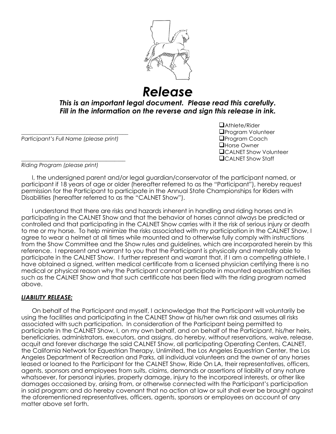

*Release*

*This is an important legal document. Please read this carefully. Fill in the information on the reverse and sign this release in ink.*

**Participant's Full Name (please print)** 

❑Athlete/Rider **QProgram Volunteer**<br>QProgram Coach ❑Horse Owner ❑CALNET Show Volunteer \_\_\_\_\_\_\_\_\_\_\_\_\_\_\_\_\_\_\_\_\_\_\_\_\_\_\_\_\_\_\_\_\_\_\_\_\_\_ ❑CALNET Show Staff

*Riding Program (please print)*

I, the undersigned parent and/or legal guardian/conservator of the participant named, or participant if 18 years of age or older (hereafter referred to as the "Participant"), hereby request permission for the Participant to participate in the Annual State Championships for Riders with Disabilities (hereafter referred to as the "CALNET Show").

I understand that there are risks and hazards inherent in handling and riding horses and in participating in the CALNET Show and that the behavior of horses cannot always be predicted or controlled and that participating in the CALNET Show carries with it the risk of serious injury or death to me or my horse. To help minimize the risks associated with my participation in the CALNET Show, I agree to wear a helmet at all times while mounted and to otherwise fully comply with instructions from the Show Committee and the Show rules and guidelines, which are incorporated herein by this reference. I represent and warrant to you that the Participant is physically and mentally able to participate in the CALNET Show. I further represent and warrant that, if I am a competing athlete, I have obtained a signed, written medical certificate from a licensed physician certifying there is no medical or physical reason why the Participant cannot participate in mounted equestrian activities such as the CALNET Show and that such certificate has been filed with the riding program named above.

### *LIABILITY RELEASE:*

On behalf of the Participant and myself, I acknowledge that the Participant will voluntarily be using the facilities and participating in the CALNET Show at his/her own risk and assumes all risks associated with such participation. In consideration of the Participant being permitted to participate in the CALNET Show, I, on my own behalf, and on behalf of the Participant, his/her heirs, beneficiaries, administrators, executors, and assigns, do hereby, without reservations, waive, release, acquit and forever discharge the said CALNET Show, all participating Operating Centers, CALNET, the California Network for Equestrian Therapy, Unlimited, the Los Angeles Equestrian Center, the Los Angeles Department of Recreation and Parks, all individual volunteers and the owner of any horses leased or loaned to the Participant for the CALNET Show, Ride On LA, their representatives, officers, agents, sponsors and employees from suits, claims, demands or assertions of liability of any nature whatsoever, for personal injuries, property damage, injury to the incorporeal interests, or other like damages occasioned by, arising from, or otherwise connected with the Participant's participation in said program; and do hereby covenant that no action at law or suit shall ever be brought against the aforementioned representatives, officers, agents, sponsors or employees on account of any matter above set forth.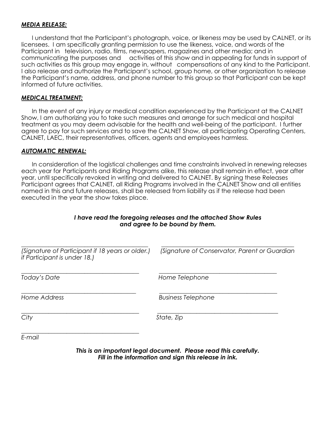### *MEDIA RELEASE:*

I understand that the Participant's photograph, voice, or likeness may be used by CALNET, or its licensees. I am specifically granting permission to use the likeness, voice, and words of the Participant in television, radio, films, newspapers, magazines and other media; and in communicating the purposes and activities of this show and in appealing for funds in support of such activities as this group may engage in, without compensations of any kind to the Participant. I also release and authorize the Participant's school, group home, or other organization to release the Participant's name, address, and phone number to this group so that Participant can be kept informed of future activities.

### *MEDICAL TREATMENT:*

In the event of any injury or medical condition experienced by the Participant at the CALNET Show, I am authorizing you to take such measures and arrange for such medical and hospital treatment as you may deem advisable for the health and well-being of the participant. I further agree to pay for such services and to save the CALNET Show, all participating Operating Centers, CALNET, LAEC, their representatives, officers, agents and employees harmless.

### *AUTOMATIC RENEWAL:*

In consideration of the logistical challenges and time constraints involved in renewing releases each year for Participants and Riding Programs alike, this release shall remain in effect, year after year, until specifically revoked in writing and delivered to CALNET. By signing these Releases Participant agrees that CALNET, all Riding Programs involved in the CALNET Show and all entities named in this and future releases, shall be released from liability as if the release had been executed in the year the show takes place.

## *I have read the foregoing releases and the attached Show Rules and agree to be bound by them.*

| (Signature of Conservator, Parent or Guardian |
|-----------------------------------------------|
| Home Telephone                                |
| <b>Business Telephone</b>                     |
| State, Zip                                    |
|                                               |

*E-mail*

*This is an important legal document. Please read this carefully. Fill in the information and sign this release in ink.*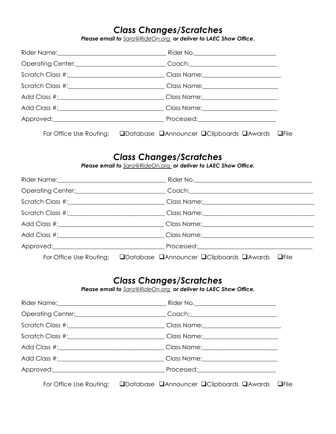# *Class Changes/Scratches*

*Please email to Sara@RideOn.org or deliver to LAEC Show Office.*

| Operating Center: <u>__________________________________</u> Coach: __________________________ |  |
|-----------------------------------------------------------------------------------------------|--|
| Scratch Class #:_______________________________Class Name:______________________              |  |
| Scratch Class #:______________________________Class Name:_______________________              |  |
|                                                                                               |  |
|                                                                                               |  |
|                                                                                               |  |
|                                                                                               |  |

For Office Use Routing: ❑Database ❑Announcer ❑Clipboards ❑Awards ❑File

## *Class Changes/Scratches*

*Please email to Sara@RideOn.org or deliver to LAEC Show Office.*

| Scratch Class #:______________________________Class Name:_______________________ |
|----------------------------------------------------------------------------------|
| Scratch Class #:______________________________Class Name:_______________________ |
| Add Class #:_________________________________Class Name:________________________ |
|                                                                                  |
|                                                                                  |
| For Office Use Routing: QDatabase QAnnouncer QClipboards QAwards QFile           |

## *Class Changes/Scratches*

*Please email to Sara@RideOn.org or deliver to LAEC Show Office.*

|                                                                                               | Rider No. ________________________________                                                                     |
|-----------------------------------------------------------------------------------------------|----------------------------------------------------------------------------------------------------------------|
| Operating Center: <u>__________________________________</u> Coach: __________________________ |                                                                                                                |
| Scratch Class #:______________________________Class Name:_______________________              |                                                                                                                |
| Scratch Class #:________________________________Class Name:_____________________              |                                                                                                                |
| Add Class #:__________________________________Class Name:_______________________              |                                                                                                                |
|                                                                                               |                                                                                                                |
|                                                                                               | Processed: 2008 2009 2010 2021 2022 2023 2024 2022 2022 2023 2024 2022 2023 2024 2022 2023 2024 2025 2026 2027 |
|                                                                                               |                                                                                                                |

For Office Use Routing: ❑Database ❑Announcer ❑Clipboards ❑Awards ❑File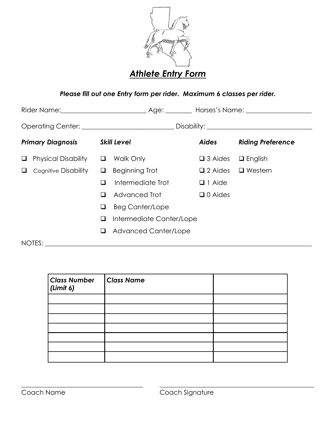

## *Please fill out one Entry form per rider. Maximum 6 classes per rider.*

| Rider Name: \\ower{\math}\$\sqrt{\math}\$\sqrt{\math}\$\sqrt{\math}\$\sqrt{\math}\$\sqrt{\math}\$\sqrt{\math}\$\sqrt{\math}\$\sqrt{\math}\$\sqrt{\math}\$\sqrt{\math}\$\sqrt{\math}\$\sqrt{\math}\$\sqrt{\math}\$\sqrt{\math}\$\sqrt{\math}\$\ |   |                             |                   |                          |
|------------------------------------------------------------------------------------------------------------------------------------------------------------------------------------------------------------------------------------------------|---|-----------------------------|-------------------|--------------------------|
|                                                                                                                                                                                                                                                |   |                             |                   |                          |
| <b>Primary Diagnosis</b>                                                                                                                                                                                                                       |   | <b>Skill Level</b>          | <b>Aides</b>      | <b>Riding Preference</b> |
| <b>Physical Disability</b><br>⊔                                                                                                                                                                                                                | ❏ | Walk Only                   | $\square$ 3 Aides | $\Box$ English           |
| Cognitive Disability<br>❏                                                                                                                                                                                                                      | ⊔ | Beginning Trot              | $\square$ 2 Aides | $\Box$ Western           |
|                                                                                                                                                                                                                                                |   | Intermediate Trot           | $\Box$ 1 Aide     |                          |
|                                                                                                                                                                                                                                                | ப | Advanced Trot               | $\Box$ 0 Aides    |                          |
|                                                                                                                                                                                                                                                | ⊔ | <b>Beg Canter/Lope</b>      |                   |                          |
|                                                                                                                                                                                                                                                | ⊔ | Intermediate Canter/Lope    |                   |                          |
|                                                                                                                                                                                                                                                | ப | <b>Advanced Canter/Lope</b> |                   |                          |
| NOTES:                                                                                                                                                                                                                                         |   |                             |                   |                          |

| <b>Class Number</b><br>(Limit 6) | <b>Class Name</b> |  |
|----------------------------------|-------------------|--|
|                                  |                   |  |
|                                  |                   |  |
|                                  |                   |  |
|                                  |                   |  |
|                                  |                   |  |
|                                  |                   |  |
|                                  |                   |  |

\_\_\_\_\_\_\_\_\_\_\_\_\_\_\_\_\_\_\_\_\_\_\_\_\_\_\_\_\_\_\_\_\_\_\_\_\_ \_\_\_\_\_\_\_\_\_\_\_\_\_\_\_\_\_\_\_\_\_\_\_\_\_\_\_\_\_\_\_\_\_\_\_\_\_\_\_\_\_\_\_\_\_\_\_

Coach Name Coach Signature